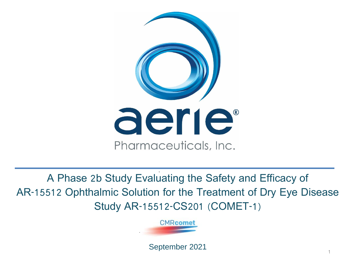

A Phase 2b Study Evaluating the Safety and Efficacy of AR-15512 Ophthalmic Solution for the Treatment of Dry Eye Disease Study AR-15512-CS201 (COMET-1)



September 2021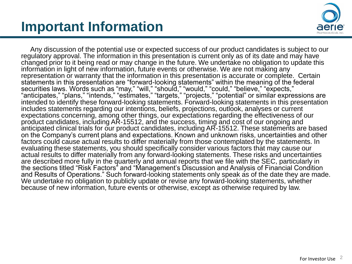### **Important Information**



Any discussion of the potential use or expected success of our product candidates is subject to our regulatory approval. The information in this presentation is current only as of its date and may have changed prior to it being read or may change in the future. We undertake no obligation to update this information in light of new information, future events or otherwise. We are not making any representation or warranty that the information in this presentation is accurate or complete. Certain statements in this presentation are "forward-looking statements" within the meaning of the federal securities laws. Words such as "may," "will," "should," "would," "could," "believe," "expects," "anticipates," "plans," "intends," "estimates," "targets," "projects," "potential" or similar expressions are intended to identify these forward-looking statements. Forward-looking statements in this presentation includes statements regarding our intentions, beliefs, projections, outlook, analyses or current expectations concerning, among other things, our expectations regarding the effectiveness of our product candidates, including AR-15512, and the success, timing and cost of our ongoing and anticipated clinical trials for our product candidates, including AR-15512. These statements are based on the Company's current plans and expectations. Known and unknown risks, uncertainties and other factors could cause actual results to differ materially from those contemplated by the statements. In evaluating these statements, you should specifically consider various factors that may cause our actual results to differ materially from any forward-looking statements. These risks and uncertainties are described more fully in the quarterly and annual reports that we file with the SEC, particularly in the sections titled "Risk Factors" and "Management's Discussion and Analysis of Financial Condition and Results of Operations." Such forward-looking statements only speak as of the date they are made. We undertake no obligation to publicly update or revise any forward-looking statements, whether because of new information, future events or otherwise, except as otherwise required by law.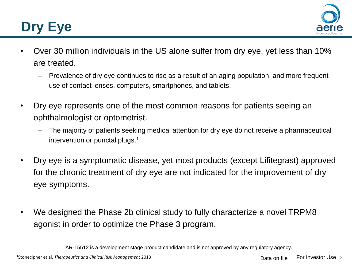# **Dry Eye**



- Over 30 million individuals in the US alone suffer from dry eye, yet less than 10% are treated.
	- Prevalence of dry eye continues to rise as a result of an aging population, and more frequent use of contact lenses, computers, smartphones, and tablets.
- Dry eye represents one of the most common reasons for patients seeing an ophthalmologist or optometrist.
	- The majority of patients seeking medical attention for dry eye do not receive a pharmaceutical intervention or punctal plugs.<sup>1</sup>
- Dry eye is a symptomatic disease, yet most products (except Lifitegrast) approved for the chronic treatment of dry eye are not indicated for the improvement of dry eye symptoms.
- We designed the Phase 2b clinical study to fully characterize a novel TRPM8 agonist in order to optimize the Phase 3 program.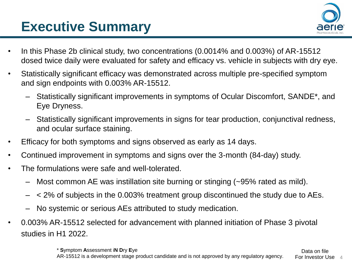## **Executive Summary**



- In this Phase 2b clinical study, two concentrations (0.0014% and 0.003%) of AR-15512 dosed twice daily were evaluated for safety and efficacy vs. vehicle in subjects with dry eye.
- Statistically significant efficacy was demonstrated across multiple pre-specified symptom and sign endpoints with 0.003% AR-15512.
	- Statistically significant improvements in symptoms of Ocular Discomfort, SANDE\*, and Eye Dryness.
	- Statistically significant improvements in signs for tear production, conjunctival redness, and ocular surface staining.
- Efficacy for both symptoms and signs observed as early as 14 days.
- Continued improvement in symptoms and signs over the 3-month (84-day) study.
- The formulations were safe and well-tolerated.
	- Most common AE was instillation site burning or stinging (~95% rated as mild).
	- < 2% of subjects in the 0.003% treatment group discontinued the study due to AEs.
	- No systemic or serious AEs attributed to study medication.
- 0.003% AR-15512 selected for advancement with planned initiation of Phase 3 pivotal studies in H1 2022.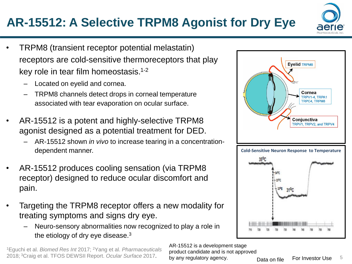<sup>1</sup>Eguchi et al. *Biomed Res Int* 2017; <sup>2</sup>Yang et al. *Pharmaceuticals* 2018; <sup>3</sup>Craig et al. TFOS DEWSII Report. *Ocular Surface* 2017. 5

#### **AR-15512: A Selective TRPM8 Agonist for Dry Eye**

- TRPM8 (transient receptor potential melastatin) receptors are cold-sensitive thermoreceptors that play key role in tear film homeostasis.1-2
	- Located on eyelid and cornea.
	- TRPM8 channels detect drops in corneal temperature associated with tear evaporation on ocular surface.
- AR-15512 is a potent and highly-selective TRPM8 agonist designed as a potential treatment for DED.
	- AR-15512 shown *in vivo* to increase tearing in a concentrationdependent manner.
- AR-15512 produces cooling sensation (via TRPM8 receptor) designed to reduce ocular discomfort and pain.
- Targeting the TRPM8 receptor offers a new modality for treating symptoms and signs dry eye.
	- Neuro-sensory abnormalities now recognized to play a role in the etiology of dry eye disease.<sup>3</sup>

Cornea TRPV1-4, TRPA1 TRPC4, TRPM8 Conjunctiva TRPV1, TRPV2, and TRPV4

**Eyelid TRPM8** 

AR-15512 is a development stage product candidate and is not approved

by any regulatory agency.



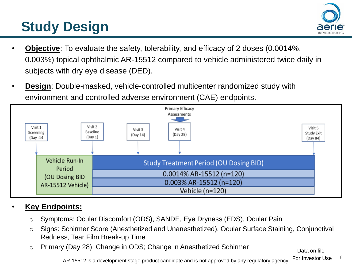# **Study Design**



- **Objective**: To evaluate the safety, tolerability, and efficacy of 2 doses (0.0014%, 0.003%) topical ophthalmic AR-15512 compared to vehicle administered twice daily in subjects with dry eye disease (DED).
- **Design**: Double-masked, vehicle-controlled multicenter randomized study with environment and controlled adverse environment (CAE) endpoints.



#### • **Key Endpoints:**

- o Symptoms: Ocular Discomfort (ODS), SANDE, Eye Dryness (EDS), Ocular Pain
- o Signs: Schirmer Score (Anesthetized and Unanesthetized), Ocular Surface Staining, Conjunctival Redness, Tear Film Break-up Time
- o Primary (Day 28): Change in ODS; Change in Anesthetized Schirmer

Data on file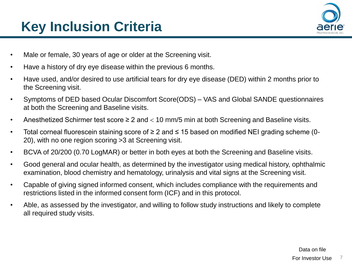# **Key Inclusion Criteria**



- Male or female, 30 years of age or older at the Screening visit.
- Have a history of dry eye disease within the previous 6 months.
- Have used, and/or desired to use artificial tears for dry eye disease (DED) within 2 months prior to the Screening visit.
- Symptoms of DED based Ocular Discomfort Score(ODS) VAS and Global SANDE questionnaires at both the Screening and Baseline visits.
- Anesthetized Schirmer test score  $\geq 2$  and  $<$  10 mm/5 min at both Screening and Baseline visits.
- Total corneal fluorescein staining score of ≥ 2 and ≤ 15 based on modified NEI grading scheme (0- 20), with no one region scoring >3 at Screening visit.
- BCVA of 20/200 (0.70 LogMAR) or better in both eyes at both the Screening and Baseline visits.
- Good general and ocular health, as determined by the investigator using medical history, ophthalmic examination, blood chemistry and hematology, urinalysis and vital signs at the Screening visit.
- Capable of giving signed informed consent, which includes compliance with the requirements and restrictions listed in the informed consent form (ICF) and in this protocol.
- Able, as assessed by the investigator, and willing to follow study instructions and likely to complete all required study visits.

For Investor Use 7 Data on file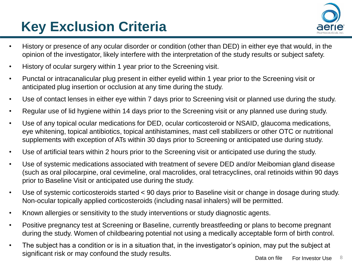# **Key Exclusion Criteria**



- History or presence of any ocular disorder or condition (other than DED) in either eye that would, in the opinion of the investigator, likely interfere with the interpretation of the study results or subject safety.
- History of ocular surgery within 1 year prior to the Screening visit.
- Punctal or intracanalicular plug present in either eyelid within 1 year prior to the Screening visit or anticipated plug insertion or occlusion at any time during the study.
- Use of contact lenses in either eye within 7 days prior to Screening visit or planned use during the study.
- Regular use of lid hygiene within 14 days prior to the Screening visit or any planned use during study.
- Use of any topical ocular medications for DED, ocular corticosteroid or NSAID, glaucoma medications, eye whitening, topical antibiotics, topical antihistamines, mast cell stabilizers or other OTC or nutritional supplements with exception of ATs within 30 days prior to Screening or anticipated use during study.
- Use of artificial tears within 2 hours prior to the Screening visit or anticipated use during the study.
- Use of systemic medications associated with treatment of severe DED and/or Meibomian gland disease (such as oral pilocarpine, oral cevimeline, oral macrolides, oral tetracyclines, oral retinoids within 90 days prior to Baseline Visit or anticipated use during the study.
- Use of systemic corticosteroids started < 90 days prior to Baseline visit or change in dosage during study. Non-ocular topically applied corticosteroids (including nasal inhalers) will be permitted.
- Known allergies or sensitivity to the study interventions or study diagnostic agents.
- Positive pregnancy test at Screening or Baseline, currently breastfeeding or plans to become pregnant during the study. Women of childbearing potential not using a medically acceptable form of birth control.
- The subject has a condition or is in a situation that, in the investigator's opinion, may put the subject at significant risk or may confound the study results.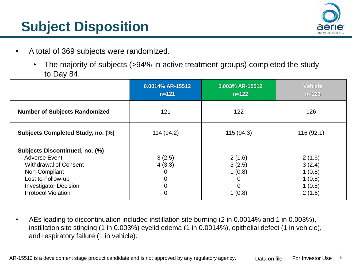

# **Subject Disposition**

- A total of 369 subjects were randomized.
	- The majority of subjects (>94% in active treatment groups) completed the study to Day 84.

|                                                                                                                                                                                           | 0.0014% AR-15512<br>$n = 121$                            | 0.003% AR-15512<br>$n = 122$                                | Vehicle,<br>$n = 126$                                    |
|-------------------------------------------------------------------------------------------------------------------------------------------------------------------------------------------|----------------------------------------------------------|-------------------------------------------------------------|----------------------------------------------------------|
| <b>Number of Subjects Randomized</b>                                                                                                                                                      | 121                                                      | 122                                                         | 126                                                      |
| Subjects Completed Study, no. (%)                                                                                                                                                         | 114 (94.2)                                               | 115(94.3)                                                   | 116(92.1)                                                |
| Subjects Discontinued, no. (%)<br><b>Adverse Event</b><br><b>Withdrawal of Consent</b><br>Non-Compliant<br>Lost to Follow-up<br><b>Investigator Decision</b><br><b>Protocol Violation</b> | 3(2.5)<br>4(3.3)<br>0<br>$\mathbf 0$<br>$\mathbf 0$<br>0 | 2(1.6)<br>3(2.5)<br>1(0.8)<br>0<br>$\overline{0}$<br>1(0.8) | 2(1.6)<br>3(2.4)<br>1(0.8)<br>1(0.8)<br>1(0.8)<br>2(1.6) |

• AEs leading to discontinuation included instillation site burning (2 in 0.0014% and 1 in 0.003%), instillation site stinging (1 in 0.003%) eyelid edema (1 in 0.0014%), epithelial defect (1 in vehicle), and respiratory failure (1 in vehicle).

AR-15512 is a development stage product candidate and is not approved by any regulatory agency. Data on file For Investor Use 9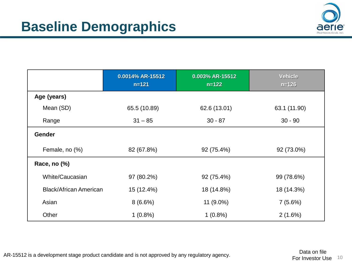

|                               | 0.0014% AR-15512<br>$n = 121$ | 0.003% AR-15512<br>$n = 122$ | <b>Vehicle</b><br>$n = 126$ |
|-------------------------------|-------------------------------|------------------------------|-----------------------------|
| Age (years)                   |                               |                              |                             |
| Mean (SD)                     | 65.5 (10.89)                  | 62.6 (13.01)                 | 63.1 (11.90)                |
| Range                         | $31 - 85$                     | $30 - 87$                    | $30 - 90$                   |
| <b>Gender</b>                 |                               |                              |                             |
| Female, no (%)                | 82 (67.8%)                    | 92 (75.4%)                   | 92 (73.0%)                  |
| Race, no (%)                  |                               |                              |                             |
| White/Caucasian               | 97 (80.2%)                    | 92 (75.4%)                   | 99 (78.6%)                  |
| <b>Black/African American</b> | 15 (12.4%)                    | 18 (14.8%)                   | 18 (14.3%)                  |
| Asian                         | $8(6.6\%)$                    | $11(9.0\%)$                  | 7(5.6%)                     |
| Other                         | $1(0.8\%)$                    | $1(0.8\%)$                   | 2(1.6%)                     |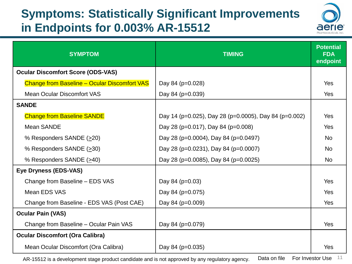#### **Symptoms: Statistically Significant Improvements in Endpoints for 0.003% AR-15512**



| <b>SYMPTOM</b>                                      | <b>TIMING</b>                                         | <b>Potential</b><br><b>FDA</b><br>endpoint |
|-----------------------------------------------------|-------------------------------------------------------|--------------------------------------------|
| <b>Ocular Discomfort Score (ODS-VAS)</b>            |                                                       |                                            |
| <b>Change from Baseline - Ocular Discomfort VAS</b> | Day 84 (p=0.028)                                      | Yes                                        |
| <b>Mean Ocular Discomfort VAS</b>                   | Day 84 (p=0.039)                                      | Yes                                        |
| <b>SANDE</b>                                        |                                                       |                                            |
| <b>Change from Baseline SANDE</b>                   | Day 14 (p=0.025), Day 28 (p=0.0005), Day 84 (p=0.002) | Yes                                        |
| <b>Mean SANDE</b>                                   | Day 28 (p=0.017), Day 84 (p=0.008)                    | Yes                                        |
| % Responders SANDE (>20)                            | Day 28 (p=0.0004), Day 84 (p=0.0497)                  | <b>No</b>                                  |
| % Responders SANDE (>30)                            | Day 28 (p=0.0231), Day 84 (p=0.0007)                  | <b>No</b>                                  |
| % Responders SANDE (>40)                            | Day 28 (p=0.0085), Day 84 (p=0.0025)                  | N <sub>o</sub>                             |
| Eye Dryness (EDS-VAS)                               |                                                       |                                            |
| Change from Baseline - EDS VAS                      | Day 84 (p=0.03)                                       | Yes                                        |
| Mean EDS VAS                                        | Day 84 (p=0.075)                                      | Yes                                        |
| Change from Baseline - EDS VAS (Post CAE)           | Day 84 (p=0.009)                                      | Yes                                        |
| <b>Ocular Pain (VAS)</b>                            |                                                       |                                            |
| Change from Baseline - Ocular Pain VAS              | Day 84 (p=0.079)                                      | Yes                                        |
| <b>Ocular Discomfort (Ora Calibra)</b>              |                                                       |                                            |
| Mean Ocular Discomfort (Ora Calibra)                | Day 84 (p=0.035)                                      | Yes                                        |

AR-15512 is a development stage product candidate and is not approved by any regulatory agency. Data on file For Investor Use  $11$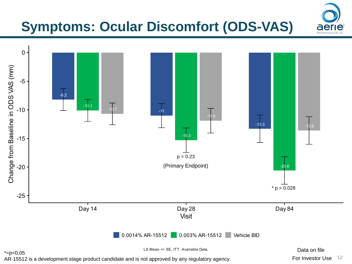## **Symptoms: Ocular Discomfort (ODS-VAS)**



For Investor Use 12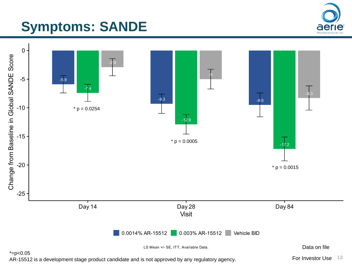## **Symptoms: SANDE**



AR-15512 is a development stage product candidate and is not approved by any regulatory agency.

For Investor Use 13

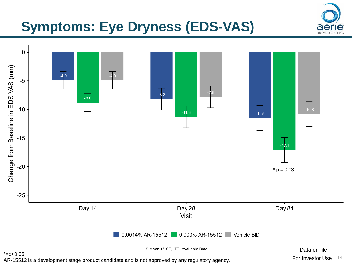## **Symptoms: Eye Dryness (EDS-VAS)**



AR-15512 is a development stage product candidate and is not approved by any regulatory agency.

For Investor Use 14

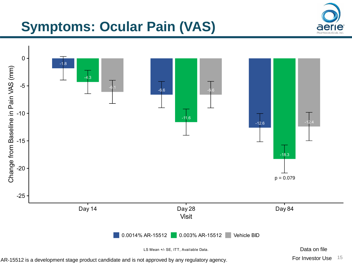### **Symptoms: Ocular Pain (VAS)**



AR-15512 is a development stage product candidate and is not approved by any regulatory agency.

For Investor Use 15

ael Pharmaceutik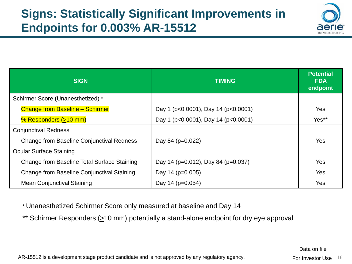

| <b>SIGN</b>                                      | <b>TIMING</b>                       | <b>Potential</b><br><b>FDA</b><br>endpoint |
|--------------------------------------------------|-------------------------------------|--------------------------------------------|
| Schirmer Score (Unanesthetized) *                |                                     |                                            |
| <b>Change from Baseline - Schirmer</b>           | Day 1 (p<0.0001), Day 14 (p<0.0001) | Yes                                        |
| % Responders $( \geq 10$ mm)                     | Day 1 (p<0.0001), Day 14 (p<0.0001) | Yes**                                      |
| <b>Conjunctival Redness</b>                      |                                     |                                            |
| <b>Change from Baseline Conjunctival Redness</b> | Day 84 (p=0.022)                    | Yes                                        |
| <b>Ocular Surface Staining</b>                   |                                     |                                            |
| Change from Baseline Total Surface Staining      | Day 14 (p=0.012), Day 84 (p=0.037)  | Yes                                        |
| Change from Baseline Conjunctival Staining       | Day 14 ( $p=0.005$ )                | Yes                                        |
| <b>Mean Conjunctival Staining</b>                | Day 14 ( $p=0.054$ )                | Yes                                        |

\* Unanesthetized Schirmer Score only measured at baseline and Day 14

\*\* Schirmer Responders (>10 mm) potentially a stand-alone endpoint for dry eye approval

Data on file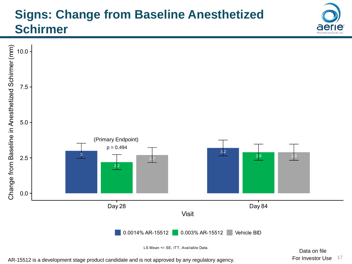#### **Signs: Change from Baseline Anesthetized Schirmer**



AR-15512 is a development stage product candidate and is not approved by any regulatory agency.

del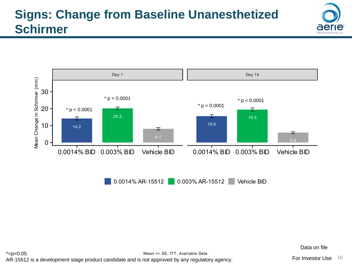



0.0014% AR-15512 0.003% AR-15512 Vehicle BID

Data on file

Mean +/- SE, ITT, Available Data.  $*=p<0.05$ AR-15512 is a development stage product candidate and is not approved by any regulatory agency.

For Investor Use 18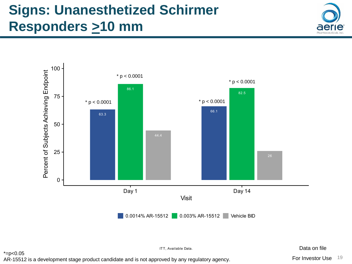## **Signs: Unanesthetized Schirmer Responders >10 mm**





ITT, Available Data.

 $*=p<0.05$ 

AR-15512 is a development stage product candidate and is not approved by any regulatory agency.

Data on file

For Investor Use 19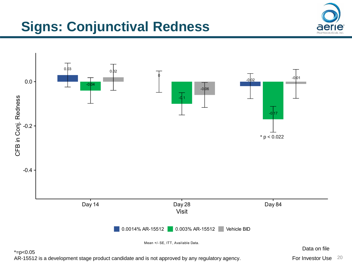## **Signs: Conjunctival Redness**





For Investor Use 20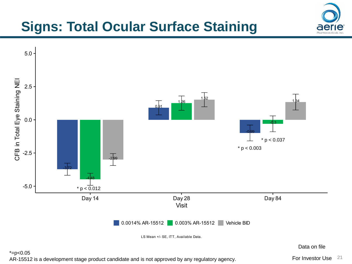## **Signs: Total Ocular Surface Staining**



For Investor Use 21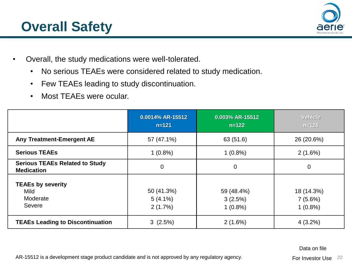### **Overall Safety**



- Overall, the study medications were well-tolerated.
	- No serious TEAEs were considered related to study medication.
	- Few TEAEs leading to study discontinuation.
	- Most TEAEs were ocular.

|                                                            | 0.0014% AR-15512<br>$n = 121$       | 0.003% AR-15512<br>$n = 122$        | Vehicle<br>$n = 126$                |
|------------------------------------------------------------|-------------------------------------|-------------------------------------|-------------------------------------|
| Any Treatment-Emergent AE                                  | 57 (47.1%)                          | 63 (51.6)                           | 26 (20.6%)                          |
| <b>Serious TEAEs</b>                                       | $1(0.8\%)$                          | $1(0.8\%)$                          | $2(1.6\%)$                          |
| <b>Serious TEAEs Related to Study</b><br><b>Medication</b> | $\mathbf 0$                         | $\mathbf 0$                         | $\overline{0}$                      |
| <b>TEAEs by severity</b><br>Mild<br>Moderate<br>Severe     | 50 (41.3%)<br>$5(4.1\%)$<br>2(1.7%) | 59 (48.4%)<br>3(2.5%)<br>$1(0.8\%)$ | 18 (14.3%)<br>7(5.6%)<br>$1(0.8\%)$ |
| <b>TEAEs Leading to Discontinuation</b>                    | 3(2.5%)                             | 2(1.6%)                             | $4(3.2\%)$                          |

Data on file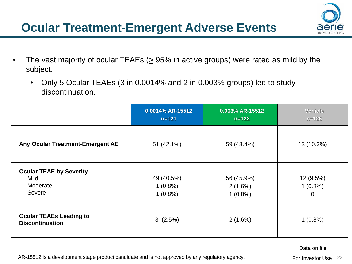- The vast majority of ocular TEAEs ( $\geq$  95% in active groups) were rated as mild by the subject.
	- Only 5 Ocular TEAEs (3 in 0.0014% and 2 in 0.003% groups) led to study discontinuation.

|                                                              | 0.0014% AR-15512<br>$n = 121$          | 0.003% AR-15512<br>$n = 122$        | Vehicle<br>$n = 126$                      |
|--------------------------------------------------------------|----------------------------------------|-------------------------------------|-------------------------------------------|
| Any Ocular Treatment-Emergent AE                             | 51 (42.1%)                             | 59 (48.4%)                          | 13 (10.3%)                                |
| <b>Ocular TEAE by Severity</b><br>Mild<br>Moderate<br>Severe | 49 (40.5%)<br>$1(0.8\%)$<br>$1(0.8\%)$ | 56 (45.9%)<br>2(1.6%)<br>$1(0.8\%)$ | 12 (9.5%)<br>$1(0.8\%)$<br>$\overline{0}$ |
| <b>Ocular TEAEs Leading to</b><br><b>Discontinuation</b>     | 3(2.5%)                                | 2(1.6%)                             | $1(0.8\%)$                                |

Data on file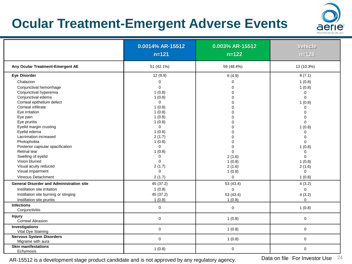### **Ocular Treatment-Emergent Adverse Events**



|                                                       | 0.0014% AR-15512<br>$n = 121$ | 0.003% AR-15512<br>$n = 122$ | Vehicle<br>$n = 126$ |
|-------------------------------------------------------|-------------------------------|------------------------------|----------------------|
| Any Ocular Treatment-Emergent AE                      | 51 (42.1%)                    | 59 (48.4%)                   | 13 (10.3%)           |
| Eye Disorder                                          | 12(9.9)                       | 6(4.9)                       | 9(7.1)               |
| Chalazion                                             | 0                             | 0                            | 1(0.8)               |
| Conjunctival hemorrhage                               | $\mathbf 0$                   | $\Omega$                     | 1(0.8)               |
| Conjunctival hyperemia                                | 1(0.8)                        | $\Omega$                     | 0                    |
| Conjunctival edema                                    | 1(0.8)                        | ∩                            | 0                    |
| Corneal epithelium defect                             | $\mathbf 0$                   | ∩                            | 1(0.8)               |
| Corneal infiltrate                                    | 1(0.8)                        |                              | 0                    |
| Eye irritation                                        | 1(0.8)                        | ∩                            | $\Omega$             |
| Eye pain                                              | 1(0.8)                        |                              | $\Omega$             |
| Eye pruritis                                          | 1(0.8)                        |                              | $\Omega$             |
| Eyelid margin crusting                                | 0                             |                              | 1(0.8)               |
| Eyelid edema                                          | 1(0.8)                        |                              | 0                    |
| Lacrimation increased                                 | 2(1.7)                        | $\Omega$                     | 0                    |
| Photophobia                                           | 1(0.8)                        |                              | $\Omega$             |
| Posterior capsular opacification                      | $\mathbf 0$                   | $\Omega$                     | 1(0.8)               |
| <b>Retinal tear</b>                                   | 1(0.8)                        | $\overline{0}$               | 0                    |
| Swelling of eyelid                                    | 0                             | 2(1.6)                       | $\Omega$             |
| Vision blurred                                        | $\mathbf 0$                   | 1(0.8)                       | 1(0.8)               |
| Visual acuity reduced                                 | 2(1.7)                        | 2(1.6)                       | 2(1.6)               |
| Visual impairment                                     | $\mathbf 0$                   | 1(0.8)                       | 0                    |
| Vitreous Detachment                                   | 2(1.7)                        | $\mathbf 0$                  | 1(0.8)               |
| <b>General Disorder and Administration site</b>       | 45 (37.2)                     | 53 (43.4)                    | 4(3.2)               |
| Instillation site irritation                          | 1(0.8)                        | $\mathbf 0$                  | $\mathbf 0$          |
| Instillation site burning or stinging                 | 45 (37.2)                     | 53 (43.4)                    | 4(3.2)               |
| Instillation site pruritis                            | 1(0.8)                        | 1(0.8)                       | 0                    |
| <b>Infections</b>                                     | $\mathbf{0}$                  | $\mathbf 0$                  | 1(0.8)               |
| Conjunctivitis                                        |                               |                              |                      |
| <b>Injury</b>                                         | $\mathbf 0$                   | 1(0.8)                       | 0                    |
| <b>Corneal Abrasion</b>                               |                               |                              |                      |
| Investigations                                        | $\mathbf 0$                   | 1(0.8)                       | 0                    |
| Vital Dye Staining                                    |                               |                              |                      |
| <b>Nervous System Disorders</b><br>Migraine with aura | $\mathbf 0$                   | 1(0.8)                       | 0                    |
| <b>Skin manifestations</b>                            | 1(0.8)                        | $\mathbf 0$                  | 0                    |
| Echymosis                                             |                               |                              |                      |

AR-15512 is a development stage product candidate and is not approved by any regulatory agency. Data on file For Investor Use 24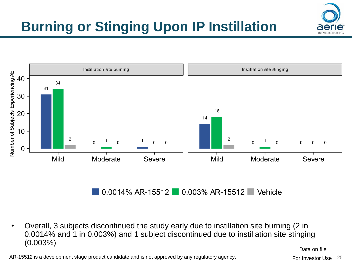# **Burning or Stinging Upon IP Instillation**



 $0.0014\%$  AR-15512 0.003% AR-15512 Vehicle

• Overall, 3 subjects discontinued the study early due to instillation site burning (2 in 0.0014% and 1 in 0.003%) and 1 subject discontinued due to instillation site stinging (0.003%)

Data on file

AR-15512 is a development stage product candidate and is not approved by any regulatory agency.

For Investor Use 25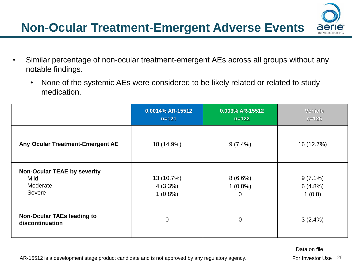- Similar percentage of non-ocular treatment-emergent AEs across all groups without any notable findings.
	- None of the systemic AEs were considered to be likely related or related to study medication.

|                                                                         | 0.0014% AR-15512<br>$n = 121$          | 0.003% AR-15512<br>$n = 122$            | <b>Vehicle</b><br>$n = 126$     |
|-------------------------------------------------------------------------|----------------------------------------|-----------------------------------------|---------------------------------|
| Any Ocular Treatment-Emergent AE                                        | 18 (14.9%)                             | $9(7.4\%)$                              | 16 (12.7%)                      |
| <b>Non-Ocular TEAE by severity</b><br><b>Mild</b><br>Moderate<br>Severe | 13 (10.7%)<br>$4(3.3\%)$<br>$1(0.8\%)$ | 8(6.6%)<br>$1(0.8\%)$<br>$\overline{0}$ | $9(7.1\%)$<br>6(4.8%)<br>1(0.8) |
| <b>Non-Ocular TAEs leading to</b><br>discontinuation                    | $\mathbf 0$                            | $\overline{0}$                          | $3(2.4\%)$                      |

Data on file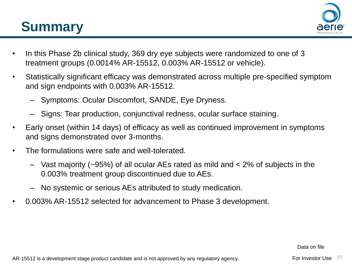## **Summary**



- In this Phase 2b clinical study, 369 dry eye subjects were randomized to one of 3 treatment groups (0.0014% AR-15512, 0.003% AR-15512 or vehicle).
- Statistically significant efficacy was demonstrated across multiple pre-specified symptom and sign endpoints with 0.003% AR-15512.
	- Symptoms: Ocular Discomfort, SANDE, Eye Dryness.
	- Signs: Tear production, conjunctival redness, ocular surface staining.
- Early onset (within 14 days) of efficacy as well as continued improvement in symptoms and signs demonstrated over 3-months.
- The formulations were safe and well-tolerated.
	- Vast majority (~95%) of all ocular AEs rated as mild and < 2% of subjects in the 0.003% treatment group discontinued due to AEs.
	- No systemic or serious AEs attributed to study medication.
- 0.003% AR-15512 selected for advancement to Phase 3 development.

Data on file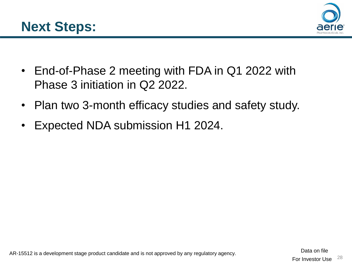



- End-of-Phase 2 meeting with FDA in Q1 2022 with Phase 3 initiation in Q2 2022.
- Plan two 3-month efficacy studies and safety study.
- Expected NDA submission H1 2024.